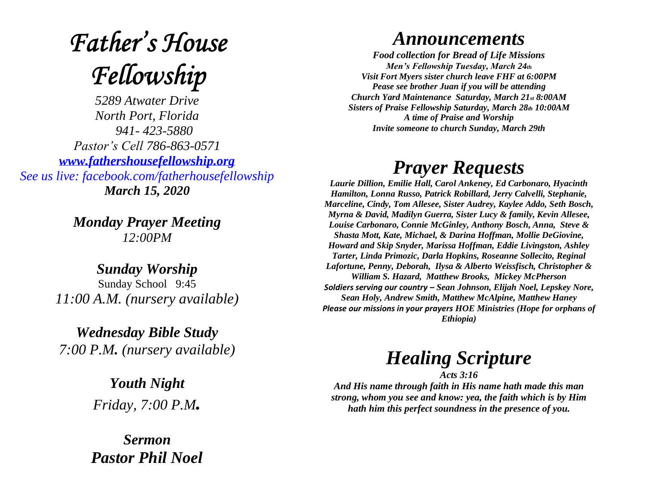# **Father's House** Fellowship

*5289 Atwater Drive North Port, Florida 941- 423-5880 Pastor's Cell 786-863-0571 [www.fathershousefellowship.org](http://www.fathershousefellowship.org/) See us live: facebook.com/fatherhousefellowship March 15, 2020*

> *Monday Prayer Meeting 12:00PM*

*Sunday Worship* Sunday School 9:45 *11:00 A.M. (nursery available)*

*Wednesday Bible Study 7:00 P.M. (nursery available)*

> *Youth Night Friday, 7:00 P.M.*

*Sermon Pastor Phil Noel*

#### *Announcements*

*Food collection for Bread of Life Missions Men's Fellowship Tuesday, March 24th Visit Fort Myers sister church leave FHF at 6:00PM Pease see brother Juan if you will be attending Church Yard Maintenance Saturday, March 21st 8:00AM Sisters of Praise Fellowship Saturday, March 28th 10:00AM A time of Praise and Worship Invite someone to church Sunday, March 29th*

### *Prayer Requests*

*Laurie Dillion, Emilie Hall, Carol Ankeney, Ed Carbonaro, Hyacinth Hamilton, Lonna Russo, Patrick Robillard, Jerry Calvelli, Stephanie, Marceline, Cindy, Tom Allesee, Sister Audrey, Kaylee Addo, Seth Bosch, Myrna & David, Madilyn Guerra, Sister Lucy & family, Kevin Allesee, Louise Carbonaro, Connie McGinley, Anthony Bosch, Anna, Steve & Shasta Mott, Kate, Michael, & Darina Hoffman, Mollie DeGiovine, Howard and Skip Snyder, Marissa Hoffman, Eddie Livingston, Ashley Tarter, Linda Primozic, Darla Hopkins, Roseanne Sollecito, Reginal Lafortune, Penny, Deborah, Ilysa & Alberto Weissfisch, Christopher & William S. Hazard, Matthew Brooks, Mickey McPherson Soldiers serving our country – Sean Johnson, Elijah Noel, Lepskey Nore, Sean Holy, Andrew Smith, Matthew McAlpine, Matthew Haney Please our missions in your prayers HOE Ministries (Hope for orphans of Ethiopia)*

## *Healing Scripture*

*Acts 3:16 And His name through faith in His name hath made this man strong, whom you see and know: yea, the faith which is by Him hath him this perfect soundness in the presence of you.*